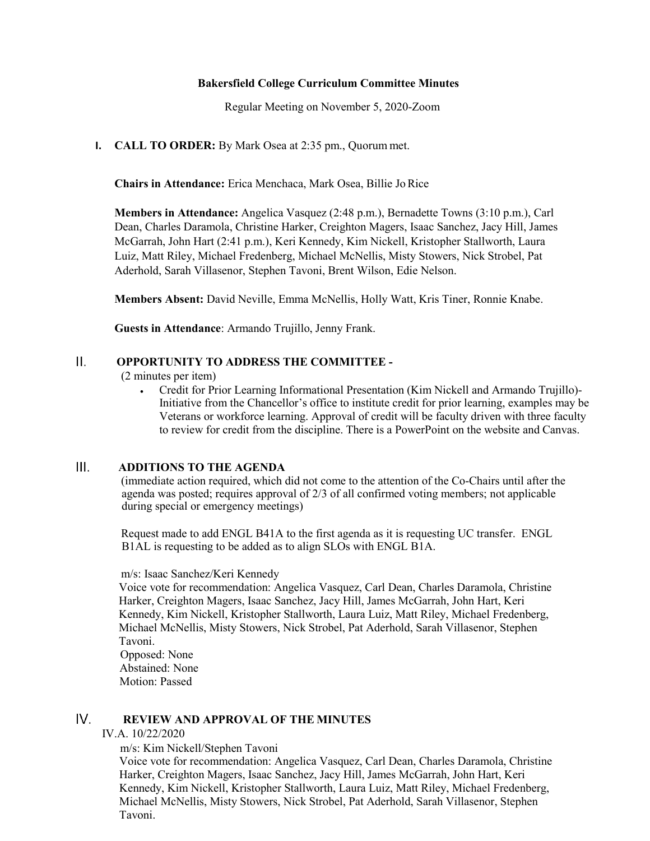### **Bakersfield College Curriculum Committee Minutes**

Regular Meeting on November 5, 2020-Zoom

**I. CALL TO ORDER:** By Mark Osea at 2:35 pm., Quorum met.

**Chairs in Attendance:** Erica Menchaca, Mark Osea, Billie JoRice

**Members in Attendance:** Angelica Vasquez (2:48 p.m.), Bernadette Towns (3:10 p.m.), Carl Dean, Charles Daramola, Christine Harker, Creighton Magers, Isaac Sanchez, Jacy Hill, James McGarrah, John Hart (2:41 p.m.), Keri Kennedy, Kim Nickell, Kristopher Stallworth, Laura Luiz, Matt Riley, Michael Fredenberg, Michael McNellis, Misty Stowers, Nick Strobel, Pat Aderhold, Sarah Villasenor, Stephen Tavoni, Brent Wilson, Edie Nelson.

**Members Absent:** David Neville, Emma McNellis, Holly Watt, Kris Tiner, Ronnie Knabe.

**Guests in Attendance**: Armando Trujillo, Jenny Frank.

# **OPPORTUNITY TO ADDRESS THE COMMITTEE -**

(2 minutes per item)

• Credit for Prior Learning Informational Presentation (Kim Nickell and Armando Trujillo)- Initiative from the Chancellor's office to institute credit for prior learning, examples may be Veterans or workforce learning. Approval of credit will be faculty driven with three faculty to review for credit from the discipline. There is a PowerPoint on the website and Canvas.

# **ADDITIONS TO THE AGENDA**

(immediate action required, which did not come to the attention of the Co-Chairs until after the agenda was posted; requires approval of 2/3 of all confirmed voting members; not applicable during special or emergency meetings)

Request made to add ENGL B41A to the first agenda as it is requesting UC transfer. ENGL B1AL is requesting to be added as to align SLOs with ENGL B1A.

### m/s: Isaac Sanchez/Keri Kennedy

 Voice vote for recommendation: Angelica Vasquez, Carl Dean, Charles Daramola, Christine Harker, Creighton Magers, Isaac Sanchez, Jacy Hill, James McGarrah, John Hart, Keri Kennedy, Kim Nickell, Kristopher Stallworth, Laura Luiz, Matt Riley, Michael Fredenberg, Michael McNellis, Misty Stowers, Nick Strobel, Pat Aderhold, Sarah Villasenor, Stephen Tavoni. Opposed: None

Abstained: None Motion: Passed

# **REVIEW AND APPROVAL OF THE MINUTES**

### IV.A. 10/22/2020

m/s: Kim Nickell/Stephen Tavoni

Voice vote for recommendation: Angelica Vasquez, Carl Dean, Charles Daramola, Christine Harker, Creighton Magers, Isaac Sanchez, Jacy Hill, James McGarrah, John Hart, Keri Kennedy, Kim Nickell, Kristopher Stallworth, Laura Luiz, Matt Riley, Michael Fredenberg, Michael McNellis, Misty Stowers, Nick Strobel, Pat Aderhold, Sarah Villasenor, Stephen Tavoni.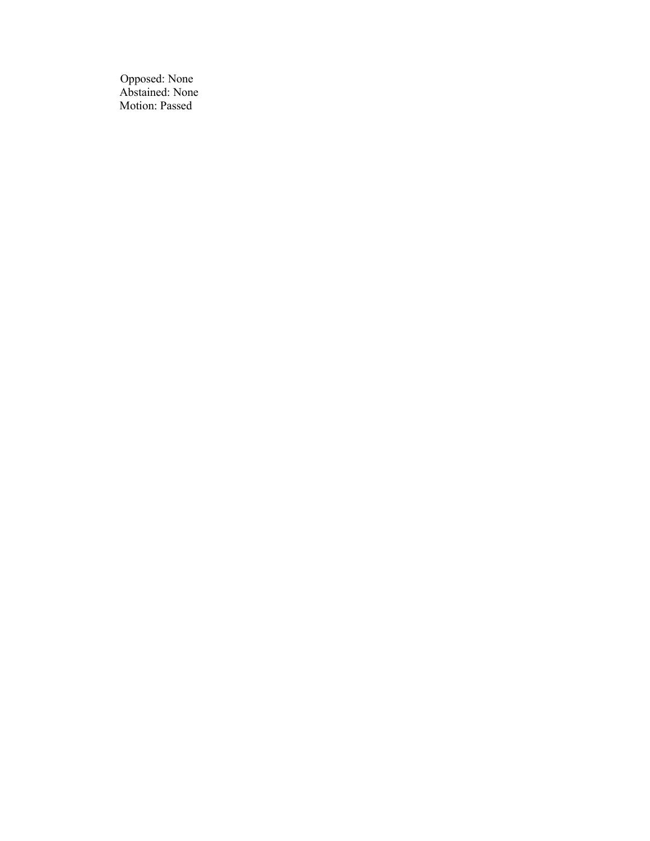Opposed: None Abstained: None Motion: Passed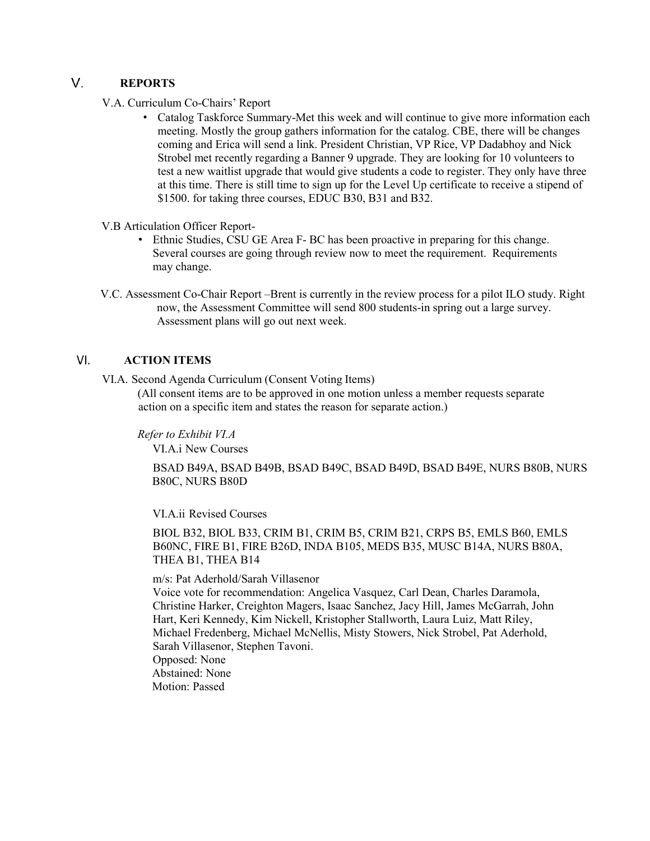# **REPORTS**

- V.A. Curriculum Co-Chairs' Report
	- Catalog Taskforce Summary-Met this week and will continue to give more information each meeting. Mostly the group gathers information for the catalog. CBE, there will be changes coming and Erica will send a link. President Christian, VP Rice, VP Dadabhoy and Nick Strobel met recently regarding a Banner 9 upgrade. They are looking for 10 volunteers to test a new waitlist upgrade that would give students a code to register. They only have three at this time. There is still time to sign up for the Level Up certificate to receive a stipend of \$1500. for taking three courses, EDUC B30, B31 and B32.
- V.B Articulation Officer Report-
	- Ethnic Studies, CSU GE Area F- BC has been proactive in preparing for this change. Several courses are going through review now to meet the requirement. Requirements may change.
- V.C. Assessment Co-Chair Report –Brent is currently in the review process for a pilot ILO study. Right now, the Assessment Committee will send 800 students-in spring out a large survey. Assessment plans will go out next week.

#### VI. **ACTION ITEMS**

VI.A. Second Agenda Curriculum (Consent Voting Items)

(All consent items are to be approved in one motion unless a member requests separate action on a specific item and states the reason for separate action.)

*Refer to Exhibit VI.A* 

VI.A.i New Courses

 BSAD B49A, BSAD B49B, BSAD B49C, BSAD B49D, BSAD B49E, NURS B80B, NURS B80C, NURS B80D

VI.A.ii Revised Courses

BIOL B32, BIOL B33, CRIM B1, CRIM B5, CRIM B21, CRPS B5, EMLS B60, EMLS B60NC, FIRE B1, FIRE B26D, INDA B105, MEDS B35, MUSC B14A, NURS B80A, THEA B1, THEA B14

m/s: Pat Aderhold/Sarah Villasenor

Voice vote for recommendation: Angelica Vasquez, Carl Dean, Charles Daramola, Christine Harker, Creighton Magers, Isaac Sanchez, Jacy Hill, James McGarrah, John Hart, Keri Kennedy, Kim Nickell, Kristopher Stallworth, Laura Luiz, Matt Riley, Michael Fredenberg, Michael McNellis, Misty Stowers, Nick Strobel, Pat Aderhold, Sarah Villasenor, Stephen Tavoni. Opposed: None Abstained: None

Motion: Passed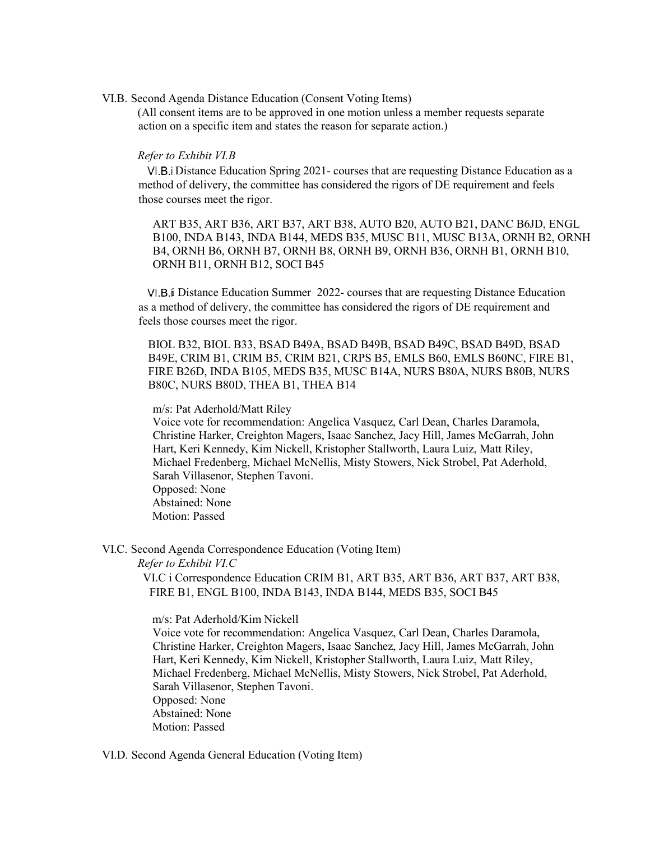VI.B. Second Agenda Distance Education (Consent Voting Items)

(All consent items are to be approved in one motion unless a member requests separate action on a specific item and states the reason for separate action.)

### *Refer to Exhibit VI.B*

Distance Education Spring 2021- courses that are requesting Distance Education as a method of delivery, the committee has considered the rigors of DE requirement and feels those courses meet the rigor.

ART B35, ART B36, ART B37, ART B38, AUTO B20, AUTO B21, DANC B6JD, ENGL B100, INDA B143, INDA B144, MEDS B35, MUSC B11, MUSC B13A, ORNH B2, ORNH B4, ORNH B6, ORNH B7, ORNH B8, ORNH B9, ORNH B36, ORNH B1, ORNH B10, ORNH B11, ORNH B12, SOCI B45

VI.B. i Distance Education Summer 2022- courses that are requesting Distance Education as a method of delivery, the committee has considered the rigors of DE requirement and feels those courses meet the rigor.

BIOL B32, BIOL B33, BSAD B49A, BSAD B49B, BSAD B49C, BSAD B49D, BSAD B49E, CRIM B1, CRIM B5, CRIM B21, CRPS B5, EMLS B60, EMLS B60NC, FIRE B1, FIRE B26D, INDA B105, MEDS B35, MUSC B14A, NURS B80A, NURS B80B, NURS B80C, NURS B80D, THEA B1, THEA B14

### m/s: Pat Aderhold/Matt Riley

Voice vote for recommendation: Angelica Vasquez, Carl Dean, Charles Daramola, Christine Harker, Creighton Magers, Isaac Sanchez, Jacy Hill, James McGarrah, John Hart, Keri Kennedy, Kim Nickell, Kristopher Stallworth, Laura Luiz, Matt Riley, Michael Fredenberg, Michael McNellis, Misty Stowers, Nick Strobel, Pat Aderhold, Sarah Villasenor, Stephen Tavoni. Opposed: None Abstained: None Motion: Passed

VI.C. Second Agenda Correspondence Education (Voting Item)

*Refer to Exhibit VI.C*

VI.C i Correspondence Education CRIM B1, ART B35, ART B36, ART B37, ART B38, FIRE B1, ENGL B100, INDA B143, INDA B144, MEDS B35, SOCI B45

m/s: Pat Aderhold/Kim Nickell Voice vote for recommendation: Angelica Vasquez, Carl Dean, Charles Daramola, Christine Harker, Creighton Magers, Isaac Sanchez, Jacy Hill, James McGarrah, John Hart, Keri Kennedy, Kim Nickell, Kristopher Stallworth, Laura Luiz, Matt Riley, Michael Fredenberg, Michael McNellis, Misty Stowers, Nick Strobel, Pat Aderhold, Sarah Villasenor, Stephen Tavoni. Opposed: None Abstained: None Motion: Passed

### VI.D. Second Agenda General Education (Voting Item)